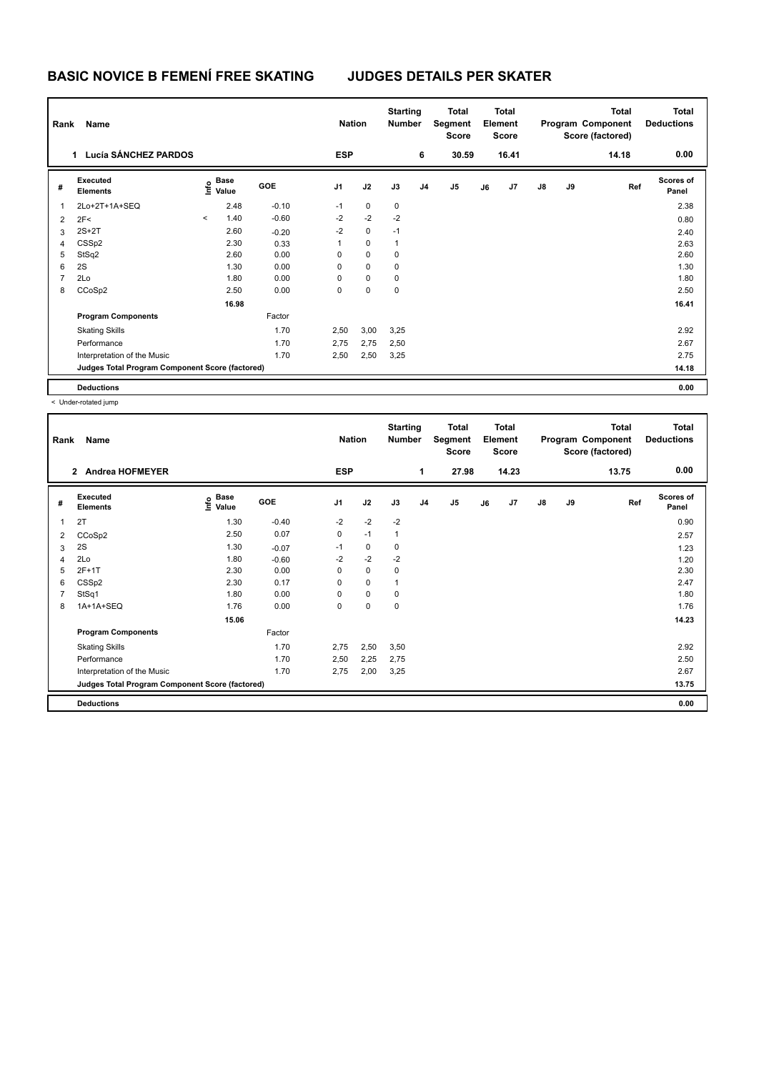| Rank | Name                                            |         |                           |            | <b>Nation</b>  |             | <b>Starting</b><br><b>Number</b> |                | <b>Total</b><br>Segment<br>Score | Total<br>Element<br><b>Score</b> |       |               |    | <b>Total</b><br>Program Component<br>Score (factored) | Total<br><b>Deductions</b> |  |
|------|-------------------------------------------------|---------|---------------------------|------------|----------------|-------------|----------------------------------|----------------|----------------------------------|----------------------------------|-------|---------------|----|-------------------------------------------------------|----------------------------|--|
|      | Lucía SÁNCHEZ PARDOS<br>$\mathbf{1}$            |         |                           |            | <b>ESP</b>     |             |                                  | 6              | 30.59                            |                                  | 16.41 |               |    | 14.18                                                 | 0.00                       |  |
| #    | Executed<br><b>Elements</b>                     |         | Base<br>o Base<br>⊆ Value | <b>GOE</b> | J <sub>1</sub> | J2          | J3                               | J <sub>4</sub> | J <sub>5</sub>                   | J6                               | J7    | $\mathsf{J}8$ | J9 | Ref                                                   | Scores of<br>Panel         |  |
| 1    | 2Lo+2T+1A+SEQ                                   |         | 2.48                      | $-0.10$    | $-1$           | $\mathbf 0$ | 0                                |                |                                  |                                  |       |               |    |                                                       | 2.38                       |  |
| 2    | 2F<                                             | $\prec$ | 1.40                      | $-0.60$    | $-2$           | $-2$        | $-2$                             |                |                                  |                                  |       |               |    |                                                       | 0.80                       |  |
| 3    | $2S+2T$                                         |         | 2.60                      | $-0.20$    | $-2$           | $\mathbf 0$ | $-1$                             |                |                                  |                                  |       |               |    |                                                       | 2.40                       |  |
| 4    | CSSp2                                           |         | 2.30                      | 0.33       | 1              | $\mathbf 0$ | 1                                |                |                                  |                                  |       |               |    |                                                       | 2.63                       |  |
| 5    | StSq2                                           |         | 2.60                      | 0.00       | 0              | $\mathbf 0$ | 0                                |                |                                  |                                  |       |               |    |                                                       | 2.60                       |  |
| 6    | 2S                                              |         | 1.30                      | 0.00       | 0              | $\mathbf 0$ | $\mathbf 0$                      |                |                                  |                                  |       |               |    |                                                       | 1.30                       |  |
| 7    | 2Lo                                             |         | 1.80                      | 0.00       | 0              | $\mathbf 0$ | 0                                |                |                                  |                                  |       |               |    |                                                       | 1.80                       |  |
| 8    | CCoSp2                                          |         | 2.50                      | 0.00       | 0              | 0           | 0                                |                |                                  |                                  |       |               |    |                                                       | 2.50                       |  |
|      |                                                 |         | 16.98                     |            |                |             |                                  |                |                                  |                                  |       |               |    |                                                       | 16.41                      |  |
|      | <b>Program Components</b>                       |         |                           | Factor     |                |             |                                  |                |                                  |                                  |       |               |    |                                                       |                            |  |
|      | <b>Skating Skills</b>                           |         |                           | 1.70       | 2,50           | 3,00        | 3,25                             |                |                                  |                                  |       |               |    |                                                       | 2.92                       |  |
|      | Performance                                     |         |                           | 1.70       | 2,75           | 2,75        | 2,50                             |                |                                  |                                  |       |               |    |                                                       | 2.67                       |  |
|      | Interpretation of the Music                     |         |                           | 1.70       | 2,50           | 2,50        | 3,25                             |                |                                  |                                  |       |               |    |                                                       | 2.75                       |  |
|      | Judges Total Program Component Score (factored) |         |                           |            |                |             |                                  |                |                                  |                                  |       |               |    |                                                       | 14.18                      |  |
|      | <b>Deductions</b>                               |         |                           |            |                |             |                                  |                |                                  |                                  |       |               |    |                                                       | 0.00                       |  |

< Under-rotated jump

| Rank | <b>Name</b>                                     |                           |         |                | <b>Nation</b> |      | <b>Starting</b><br>Number | <b>Total</b><br>Segment<br><b>Score</b> | <b>Total</b><br>Element<br><b>Score</b> |       |               |    | <b>Total</b><br>Program Component<br>Score (factored) | Total<br><b>Deductions</b> |
|------|-------------------------------------------------|---------------------------|---------|----------------|---------------|------|---------------------------|-----------------------------------------|-----------------------------------------|-------|---------------|----|-------------------------------------------------------|----------------------------|
|      | <b>Andrea HOFMEYER</b><br>$\mathbf{2}$          |                           |         | <b>ESP</b>     |               |      | 1                         | 27.98                                   |                                         | 14.23 |               |    | 13.75                                                 | 0.00                       |
| #    | <b>Executed</b><br><b>Elements</b>              | Base<br>e Base<br>⊆ Value | GOE     | J <sub>1</sub> | J2            | J3   | J <sub>4</sub>            | J <sub>5</sub>                          | J6                                      | J7    | $\mathsf{J}8$ | J9 | Ref                                                   | <b>Scores of</b><br>Panel  |
| 1    | 2T                                              | 1.30                      | $-0.40$ | $-2$           | $-2$          | $-2$ |                           |                                         |                                         |       |               |    |                                                       | 0.90                       |
| 2    | CCoSp2                                          | 2.50                      | 0.07    | 0              | $-1$          | 1    |                           |                                         |                                         |       |               |    |                                                       | 2.57                       |
| 3    | 2S                                              | 1.30                      | $-0.07$ | $-1$           | $\mathbf 0$   | 0    |                           |                                         |                                         |       |               |    |                                                       | 1.23                       |
| 4    | 2Lo                                             | 1.80                      | $-0.60$ | $-2$           | $-2$          | $-2$ |                           |                                         |                                         |       |               |    |                                                       | 1.20                       |
| 5    | $2F+1T$                                         | 2.30                      | 0.00    | 0              | $\mathbf 0$   | 0    |                           |                                         |                                         |       |               |    |                                                       | 2.30                       |
| 6    | CSSp2                                           | 2.30                      | 0.17    | 0              | 0             |      |                           |                                         |                                         |       |               |    |                                                       | 2.47                       |
|      | StSq1                                           | 1.80                      | 0.00    | 0              | 0             | 0    |                           |                                         |                                         |       |               |    |                                                       | 1.80                       |
| 8    | 1A+1A+SEQ                                       | 1.76                      | 0.00    | 0              | 0             | 0    |                           |                                         |                                         |       |               |    |                                                       | 1.76                       |
|      |                                                 | 15.06                     |         |                |               |      |                           |                                         |                                         |       |               |    |                                                       | 14.23                      |
|      | <b>Program Components</b>                       |                           | Factor  |                |               |      |                           |                                         |                                         |       |               |    |                                                       |                            |
|      | <b>Skating Skills</b>                           |                           | 1.70    | 2,75           | 2,50          | 3,50 |                           |                                         |                                         |       |               |    |                                                       | 2.92                       |
|      | Performance                                     |                           | 1.70    | 2,50           | 2,25          | 2,75 |                           |                                         |                                         |       |               |    |                                                       | 2.50                       |
|      | Interpretation of the Music                     |                           | 1.70    | 2,75           | 2,00          | 3,25 |                           |                                         |                                         |       |               |    |                                                       | 2.67                       |
|      | Judges Total Program Component Score (factored) |                           |         |                |               |      |                           |                                         |                                         |       |               |    |                                                       | 13.75                      |
|      | <b>Deductions</b>                               |                           |         |                |               |      |                           |                                         |                                         |       |               |    |                                                       | 0.00                       |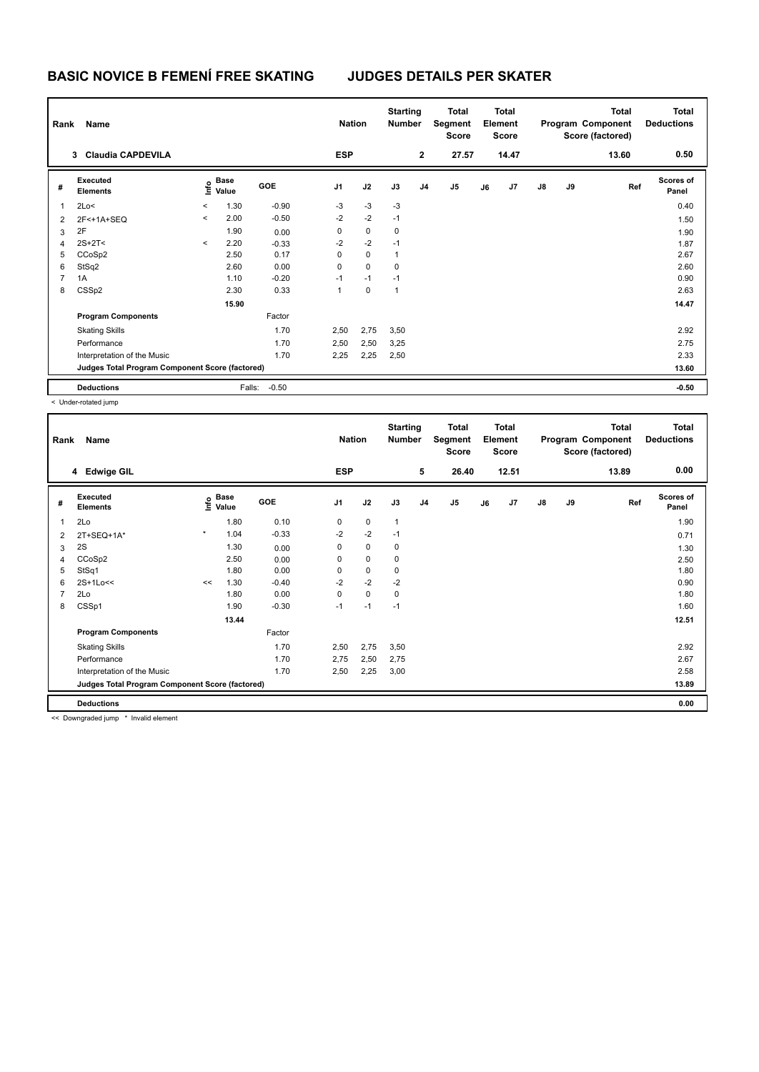| Rank           | Name                                            |                          |                           |            | <b>Nation</b>  |             | <b>Starting</b><br><b>Number</b> |                | <b>Total</b><br>Segment<br>Score | <b>Total</b><br>Element<br><b>Score</b> |       |    |    | <b>Total</b><br>Program Component<br>Score (factored) | <b>Total</b><br><b>Deductions</b> |
|----------------|-------------------------------------------------|--------------------------|---------------------------|------------|----------------|-------------|----------------------------------|----------------|----------------------------------|-----------------------------------------|-------|----|----|-------------------------------------------------------|-----------------------------------|
|                | 3 Claudia CAPDEVILA                             |                          |                           |            | <b>ESP</b>     |             |                                  | $\mathbf{2}$   | 27.57                            |                                         | 14.47 |    |    | 13.60                                                 | 0.50                              |
| #              | Executed<br><b>Elements</b>                     |                          | Base<br>o Base<br>⊆ Value | <b>GOE</b> | J <sub>1</sub> | J2          | J3                               | J <sub>4</sub> | J <sub>5</sub>                   | J6                                      | J7    | J8 | J9 | Ref                                                   | <b>Scores of</b><br>Panel         |
| 1              | 2Lo<                                            | $\overline{\phantom{a}}$ | 1.30                      | $-0.90$    | $-3$           | $-3$        | $-3$                             |                |                                  |                                         |       |    |    |                                                       | 0.40                              |
| 2              | 2F<+1A+SEQ                                      | $\prec$                  | 2.00                      | $-0.50$    | $-2$           | $-2$        | $-1$                             |                |                                  |                                         |       |    |    |                                                       | 1.50                              |
| 3              | 2F                                              |                          | 1.90                      | 0.00       | 0              | $\mathbf 0$ | $\mathbf 0$                      |                |                                  |                                         |       |    |    |                                                       | 1.90                              |
| 4              | $2S+2T<$                                        | $\prec$                  | 2.20                      | $-0.33$    | $-2$           | $-2$        | $-1$                             |                |                                  |                                         |       |    |    |                                                       | 1.87                              |
| 5              | CCoSp2                                          |                          | 2.50                      | 0.17       | 0              | $\mathbf 0$ | 1                                |                |                                  |                                         |       |    |    |                                                       | 2.67                              |
| 6              | StSq2                                           |                          | 2.60                      | 0.00       | 0              | $\mathbf 0$ | 0                                |                |                                  |                                         |       |    |    |                                                       | 2.60                              |
| $\overline{7}$ | 1A                                              |                          | 1.10                      | $-0.20$    | $-1$           | $-1$        | $-1$                             |                |                                  |                                         |       |    |    |                                                       | 0.90                              |
| 8              | CSSp2                                           |                          | 2.30                      | 0.33       | 1              | 0           | $\mathbf{1}$                     |                |                                  |                                         |       |    |    |                                                       | 2.63                              |
|                |                                                 |                          | 15.90                     |            |                |             |                                  |                |                                  |                                         |       |    |    |                                                       | 14.47                             |
|                | <b>Program Components</b>                       |                          |                           | Factor     |                |             |                                  |                |                                  |                                         |       |    |    |                                                       |                                   |
|                | <b>Skating Skills</b>                           |                          |                           | 1.70       | 2,50           | 2,75        | 3,50                             |                |                                  |                                         |       |    |    |                                                       | 2.92                              |
|                | Performance                                     |                          |                           | 1.70       | 2,50           | 2,50        | 3,25                             |                |                                  |                                         |       |    |    |                                                       | 2.75                              |
|                | Interpretation of the Music                     |                          |                           | 1.70       | 2,25           | 2,25        | 2,50                             |                |                                  |                                         |       |    |    |                                                       | 2.33                              |
|                | Judges Total Program Component Score (factored) |                          |                           |            |                |             |                                  |                |                                  |                                         |       |    |    |                                                       | 13.60                             |
|                | <b>Deductions</b>                               |                          | Falls:                    | $-0.50$    |                |             |                                  |                |                                  |                                         |       |    |    |                                                       | $-0.50$                           |

< Under-rotated jump

| Rank | Name                                            |         |                                      |            | <b>Nation</b>  |             | <b>Starting</b><br><b>Number</b> |                | <b>Total</b><br>Segment<br><b>Score</b> | <b>Total</b><br>Element<br><b>Score</b> |       |               |    | <b>Total</b><br>Program Component<br>Score (factored) | <b>Total</b><br><b>Deductions</b> |
|------|-------------------------------------------------|---------|--------------------------------------|------------|----------------|-------------|----------------------------------|----------------|-----------------------------------------|-----------------------------------------|-------|---------------|----|-------------------------------------------------------|-----------------------------------|
|      | 4 Edwige GIL                                    |         |                                      |            | <b>ESP</b>     |             |                                  | 5              | 26.40                                   |                                         | 12.51 |               |    | 13.89                                                 | 0.00                              |
| #    | Executed<br><b>Elements</b>                     |         | Base<br>e <sup>Base</sup><br>⊆ Value | <b>GOE</b> | J <sub>1</sub> | J2          | J3                               | J <sub>4</sub> | J <sub>5</sub>                          | J6                                      | J7    | $\mathsf{J}8$ | J9 | Ref                                                   | <b>Scores of</b><br>Panel         |
| 1    | 2Lo                                             |         | 1.80                                 | 0.10       | 0              | $\mathbf 0$ | $\mathbf{1}$                     |                |                                         |                                         |       |               |    |                                                       | 1.90                              |
| 2    | 2T+SEQ+1A*                                      | $\star$ | 1.04                                 | $-0.33$    | $-2$           | $-2$        | $-1$                             |                |                                         |                                         |       |               |    |                                                       | 0.71                              |
| 3    | 2S                                              |         | 1.30                                 | 0.00       | 0              | $\mathbf 0$ | 0                                |                |                                         |                                         |       |               |    |                                                       | 1.30                              |
| 4    | CCoSp2                                          |         | 2.50                                 | 0.00       | 0              | $\pmb{0}$   | 0                                |                |                                         |                                         |       |               |    |                                                       | 2.50                              |
| 5    | StSq1                                           |         | 1.80                                 | 0.00       | 0              | $\pmb{0}$   | 0                                |                |                                         |                                         |       |               |    |                                                       | 1.80                              |
| 6    | 2S+1Lo<<                                        | <<      | 1.30                                 | $-0.40$    | $-2$           | $-2$        | $-2$                             |                |                                         |                                         |       |               |    |                                                       | 0.90                              |
| 7    | 2Lo                                             |         | 1.80                                 | 0.00       | 0              | $\mathbf 0$ | 0                                |                |                                         |                                         |       |               |    |                                                       | 1.80                              |
| 8    | CSSp1                                           |         | 1.90                                 | $-0.30$    | $-1$           | $-1$        | $-1$                             |                |                                         |                                         |       |               |    |                                                       | 1.60                              |
|      |                                                 |         | 13.44                                |            |                |             |                                  |                |                                         |                                         |       |               |    |                                                       | 12.51                             |
|      | <b>Program Components</b>                       |         |                                      | Factor     |                |             |                                  |                |                                         |                                         |       |               |    |                                                       |                                   |
|      | <b>Skating Skills</b>                           |         |                                      | 1.70       | 2,50           | 2,75        | 3,50                             |                |                                         |                                         |       |               |    |                                                       | 2.92                              |
|      | Performance                                     |         |                                      | 1.70       | 2,75           | 2,50        | 2,75                             |                |                                         |                                         |       |               |    |                                                       | 2.67                              |
|      | Interpretation of the Music                     |         |                                      | 1.70       | 2,50           | 2,25        | 3,00                             |                |                                         |                                         |       |               |    |                                                       | 2.58                              |
|      | Judges Total Program Component Score (factored) |         |                                      |            |                |             |                                  |                |                                         |                                         |       |               |    |                                                       | 13.89                             |
|      | <b>Deductions</b>                               |         |                                      |            |                |             |                                  |                |                                         |                                         |       |               |    |                                                       | 0.00                              |

<< Downgraded jump \* Invalid element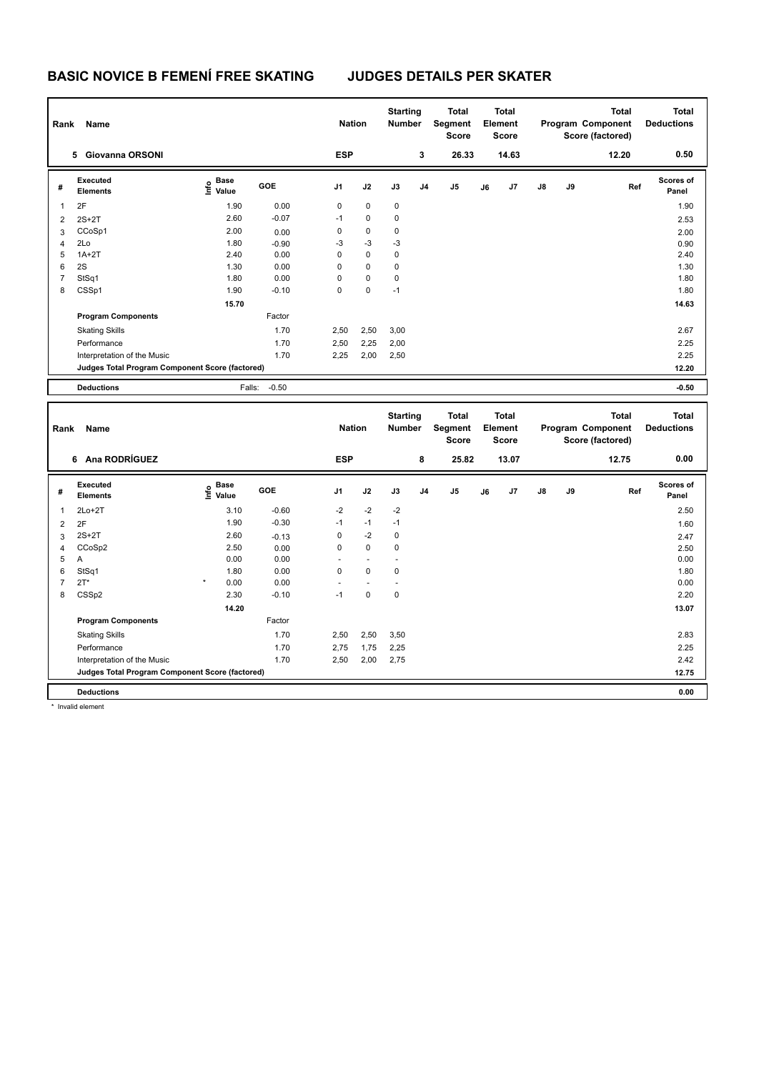|                | Rank<br>Name                                    |                                           |            |                | <b>Nation</b> |             | <b>Starting</b><br><b>Number</b> | <b>Total</b><br>Segment<br><b>Score</b> | <b>Total</b><br>Element<br><b>Score</b> |       | Program Component<br>Score (factored) |    | Total | <b>Total</b><br><b>Deductions</b> |
|----------------|-------------------------------------------------|-------------------------------------------|------------|----------------|---------------|-------------|----------------------------------|-----------------------------------------|-----------------------------------------|-------|---------------------------------------|----|-------|-----------------------------------|
|                | <b>Giovanna ORSONI</b><br>5.                    |                                           |            | <b>ESP</b>     |               |             | 3                                | 26.33                                   |                                         | 14.63 |                                       |    | 12.20 | 0.50                              |
| #              | Executed<br><b>Elements</b>                     | $\frac{e}{E}$ Base<br>$\frac{E}{E}$ Value | <b>GOE</b> | J <sub>1</sub> | J2            | J3          | J <sub>4</sub>                   | J <sub>5</sub>                          | J6                                      | J7    | $\mathsf{J}8$                         | J9 | Ref   | <b>Scores of</b><br>Panel         |
|                | 2F                                              | 1.90                                      | 0.00       | 0              | $\mathbf 0$   | $\mathbf 0$ |                                  |                                         |                                         |       |                                       |    |       | 1.90                              |
| $\overline{2}$ | $2S+2T$                                         | 2.60                                      | $-0.07$    | $-1$           | 0             | $\mathbf 0$ |                                  |                                         |                                         |       |                                       |    |       | 2.53                              |
| 3              | CCoSp1                                          | 2.00                                      | 0.00       | 0              | $\mathbf 0$   | 0           |                                  |                                         |                                         |       |                                       |    |       | 2.00                              |
| $\overline{4}$ | 2Lo                                             | 1.80                                      | $-0.90$    | $-3$           | $-3$          | $-3$        |                                  |                                         |                                         |       |                                       |    |       | 0.90                              |
| 5              | $1A+2T$                                         | 2.40                                      | 0.00       | 0              | $\mathbf 0$   | 0           |                                  |                                         |                                         |       |                                       |    |       | 2.40                              |
| 6              | 2S                                              | 1.30                                      | 0.00       | $\Omega$       | $\mathbf 0$   | 0           |                                  |                                         |                                         |       |                                       |    |       | 1.30                              |
| 7              | StSq1                                           | 1.80                                      | 0.00       | 0              | $\mathbf 0$   | 0           |                                  |                                         |                                         |       |                                       |    |       | 1.80                              |
| 8              | CSSp1                                           | 1.90                                      | $-0.10$    | 0              | $\mathbf 0$   | $-1$        |                                  |                                         |                                         |       |                                       |    |       | 1.80                              |
|                |                                                 | 15.70                                     |            |                |               |             |                                  |                                         |                                         |       |                                       |    |       | 14.63                             |
|                | <b>Program Components</b>                       |                                           | Factor     |                |               |             |                                  |                                         |                                         |       |                                       |    |       |                                   |
|                | <b>Skating Skills</b>                           |                                           | 1.70       | 2,50           | 2,50          | 3,00        |                                  |                                         |                                         |       |                                       |    |       | 2.67                              |
|                | Performance                                     |                                           | 1.70       | 2,50           | 2,25          | 2,00        |                                  |                                         |                                         |       |                                       |    |       | 2.25                              |
|                | Interpretation of the Music                     |                                           | 1.70       | 2,25           | 2,00          | 2,50        |                                  |                                         |                                         |       |                                       |    |       | 2.25                              |
|                | Judges Total Program Component Score (factored) |                                           |            |                |               |             |                                  |                                         |                                         |       |                                       |    |       | 12.20                             |
|                | <b>Deductions</b>                               | Falls:                                    | $-0.50$    |                |               |             |                                  |                                         |                                         |       |                                       |    |       | $-0.50$                           |

|                | Rank<br>Name                                    |                                  |         |                | <b>Nation</b> |             | <b>Starting</b><br><b>Number</b> | <b>Total</b><br>Segment<br>Score | <b>Total</b><br>Element<br><b>Score</b> |       |               |    | <b>Total</b><br>Program Component<br>Score (factored) | <b>Total</b><br><b>Deductions</b> |
|----------------|-------------------------------------------------|----------------------------------|---------|----------------|---------------|-------------|----------------------------------|----------------------------------|-----------------------------------------|-------|---------------|----|-------------------------------------------------------|-----------------------------------|
|                | 6 Ana RODRÍGUEZ                                 |                                  |         | <b>ESP</b>     |               |             | 8                                | 25.82                            |                                         | 13.07 |               |    | 12.75                                                 | 0.00                              |
| #              | Executed<br><b>Elements</b>                     | <b>Base</b><br>o Base<br>⊆ Value | GOE     | J <sub>1</sub> | J2            | J3          | J <sub>4</sub>                   | J <sub>5</sub>                   | J6                                      | J7    | $\mathsf{J}8$ | J9 | Ref                                                   | Scores of<br>Panel                |
| 1              | $2Lo+2T$                                        | 3.10                             | $-0.60$ | $-2$           | $-2$          | $-2$        |                                  |                                  |                                         |       |               |    |                                                       | 2.50                              |
| $\overline{2}$ | 2F                                              | 1.90                             | $-0.30$ | $-1$           | $-1$          | $-1$        |                                  |                                  |                                         |       |               |    |                                                       | 1.60                              |
| 3              | $2S+2T$                                         | 2.60                             | $-0.13$ | 0              | $-2$          | $\mathbf 0$ |                                  |                                  |                                         |       |               |    |                                                       | 2.47                              |
| 4              | CCoSp2                                          | 2.50                             | 0.00    | 0              | $\mathbf 0$   | 0           |                                  |                                  |                                         |       |               |    |                                                       | 2.50                              |
| 5              | Α                                               | 0.00                             | 0.00    |                |               |             |                                  |                                  |                                         |       |               |    |                                                       | 0.00                              |
| 6              | StSq1                                           | 1.80                             | 0.00    | 0              | $\mathbf 0$   | 0           |                                  |                                  |                                         |       |               |    |                                                       | 1.80                              |
|                | $2T^*$                                          | $\star$<br>0.00                  | 0.00    |                |               |             |                                  |                                  |                                         |       |               |    |                                                       | 0.00                              |
| 8              | CSSp2                                           | 2.30                             | $-0.10$ | $-1$           | 0             | $\mathbf 0$ |                                  |                                  |                                         |       |               |    |                                                       | 2.20                              |
|                |                                                 | 14.20                            |         |                |               |             |                                  |                                  |                                         |       |               |    |                                                       | 13.07                             |
|                | <b>Program Components</b>                       |                                  | Factor  |                |               |             |                                  |                                  |                                         |       |               |    |                                                       |                                   |
|                | <b>Skating Skills</b>                           |                                  | 1.70    | 2,50           | 2,50          | 3,50        |                                  |                                  |                                         |       |               |    |                                                       | 2.83                              |
|                | Performance                                     |                                  | 1.70    | 2,75           | 1,75          | 2,25        |                                  |                                  |                                         |       |               |    |                                                       | 2.25                              |
|                | Interpretation of the Music                     |                                  | 1.70    | 2,50           | 2,00          | 2,75        |                                  |                                  |                                         |       |               |    |                                                       | 2.42                              |
|                | Judges Total Program Component Score (factored) |                                  |         |                |               |             |                                  |                                  |                                         |       |               |    |                                                       | 12.75                             |
|                | <b>Deductions</b>                               |                                  |         |                |               |             |                                  |                                  |                                         |       |               |    |                                                       | 0.00                              |

\* Invalid element